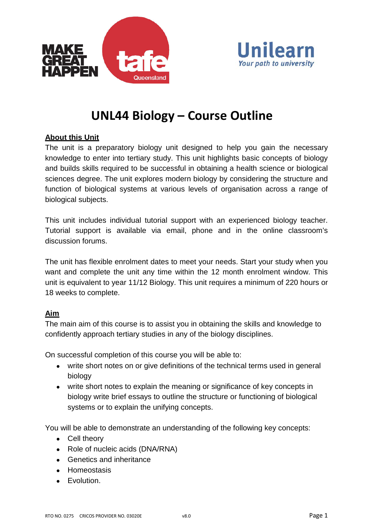



# **UNL44 Biology – Course Outline**

# **About this Unit**

The unit is a preparatory biology unit designed to help you gain the necessary knowledge to enter into tertiary study. This unit highlights basic concepts of biology and builds skills required to be successful in obtaining a health science or biological sciences degree. The unit explores modern biology by considering the structure and function of biological systems at various levels of organisation across a range of biological subjects.

This unit includes individual tutorial support with an experienced biology teacher. Tutorial support is available via email, phone and in the online classroom's discussion forums.

The unit has flexible enrolment dates to meet your needs. Start your study when you want and complete the unit any time within the 12 month enrolment window. This unit is equivalent to year 11/12 Biology. This unit requires a minimum of 220 hours or 18 weeks to complete.

## **Aim**

The main aim of this course is to assist you in obtaining the skills and knowledge to confidently approach tertiary studies in any of the biology disciplines.

On successful completion of this course you will be able to:

- write short notes on or give definitions of the technical terms used in general biology
- write short notes to explain the meaning or significance of key concepts in biology write brief essays to outline the structure or functioning of biological systems or to explain the unifying concepts.

You will be able to demonstrate an understanding of the following key concepts:

- Cell theory
- Role of nucleic acids (DNA/RNA)
- Genetics and inheritance
- Homeostasis
- Evolution.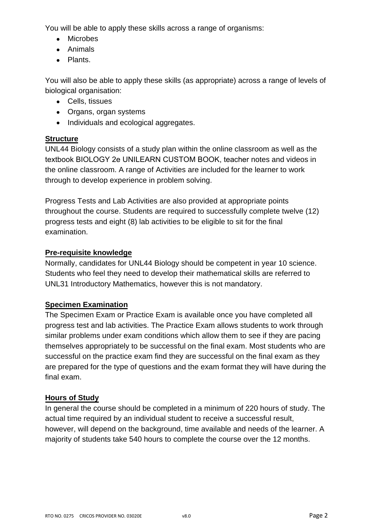You will be able to apply these skills across a range of organisms:

- Microbes
- Animals
- Plants.

You will also be able to apply these skills (as appropriate) across a range of levels of biological organisation:

- Cells, tissues
- Organs, organ systems
- Individuals and ecological aggregates.

# **Structure**

UNL44 Biology consists of a study plan within the online classroom as well as the textbook BIOLOGY 2e UNILEARN CUSTOM BOOK, teacher notes and videos in the online classroom. A range of Activities are included for the learner to work through to develop experience in problem solving.

Progress Tests and Lab Activities are also provided at appropriate points throughout the course. Students are required to successfully complete twelve (12) progress tests and eight (8) lab activities to be eligible to sit for the final examination.

# **Pre-requisite knowledge**

Normally, candidates for UNL44 Biology should be competent in year 10 science. Students who feel they need to develop their mathematical skills are referred to UNL31 Introductory Mathematics, however this is not mandatory.

# **Specimen Examination**

The Specimen Exam or Practice Exam is available once you have completed all progress test and lab activities. The Practice Exam allows students to work through similar problems under exam conditions which allow them to see if they are pacing themselves appropriately to be successful on the final exam. Most students who are successful on the practice exam find they are successful on the final exam as they are prepared for the type of questions and the exam format they will have during the final exam.

# **Hours of Study**

In general the course should be completed in a minimum of 220 hours of study. The actual time required by an individual student to receive a successful result, however, will depend on the background, time available and needs of the learner. A majority of students take 540 hours to complete the course over the 12 months.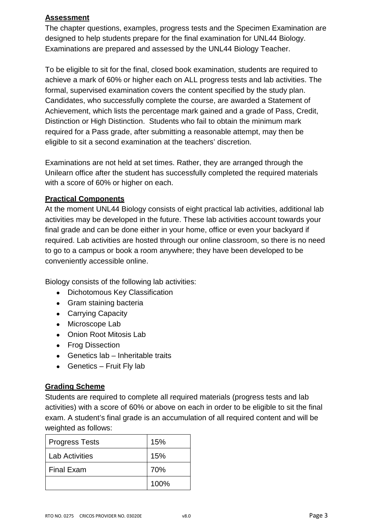# **Assessment**

The chapter questions, examples, progress tests and the Specimen Examination are designed to help students prepare for the final examination for UNL44 Biology. Examinations are prepared and assessed by the UNL44 Biology Teacher.

To be eligible to sit for the final, closed book examination, students are required to achieve a mark of 60% or higher each on ALL progress tests and lab activities. The formal, supervised examination covers the content specified by the study plan. Candidates, who successfully complete the course, are awarded a Statement of Achievement, which lists the percentage mark gained and a grade of Pass, Credit, Distinction or High Distinction. Students who fail to obtain the minimum mark required for a Pass grade, after submitting a reasonable attempt, may then be eligible to sit a second examination at the teachers' discretion.

Examinations are not held at set times. Rather, they are arranged through the Unilearn office after the student has successfully completed the required materials with a score of 60% or higher on each.

# **Practical Components**

At the moment UNL44 Biology consists of eight practical lab activities, additional lab activities may be developed in the future. These lab activities account towards your final grade and can be done either in your home, office or even your backyard if required. Lab activities are hosted through our online classroom, so there is no need to go to a campus or book a room anywhere; they have been developed to be conveniently accessible online.

Biology consists of the following lab activities:

- Dichotomous Key Classification
- Gram staining bacteria
- Carrying Capacity
- Microscope Lab
- Onion Root Mitosis Lab
- Frog Dissection
- Genetics lab Inheritable traits
- Genetics Fruit Fly lab

# **Grading Scheme**

Students are required to complete all required materials (progress tests and lab activities) with a score of 60% or above on each in order to be eligible to sit the final exam. A student's final grade is an accumulation of all required content and will be weighted as follows:

| <b>Progress Tests</b> | 15%  |
|-----------------------|------|
| Lab Activities        | 15%  |
| <b>Final Exam</b>     | 70%  |
|                       | 100% |